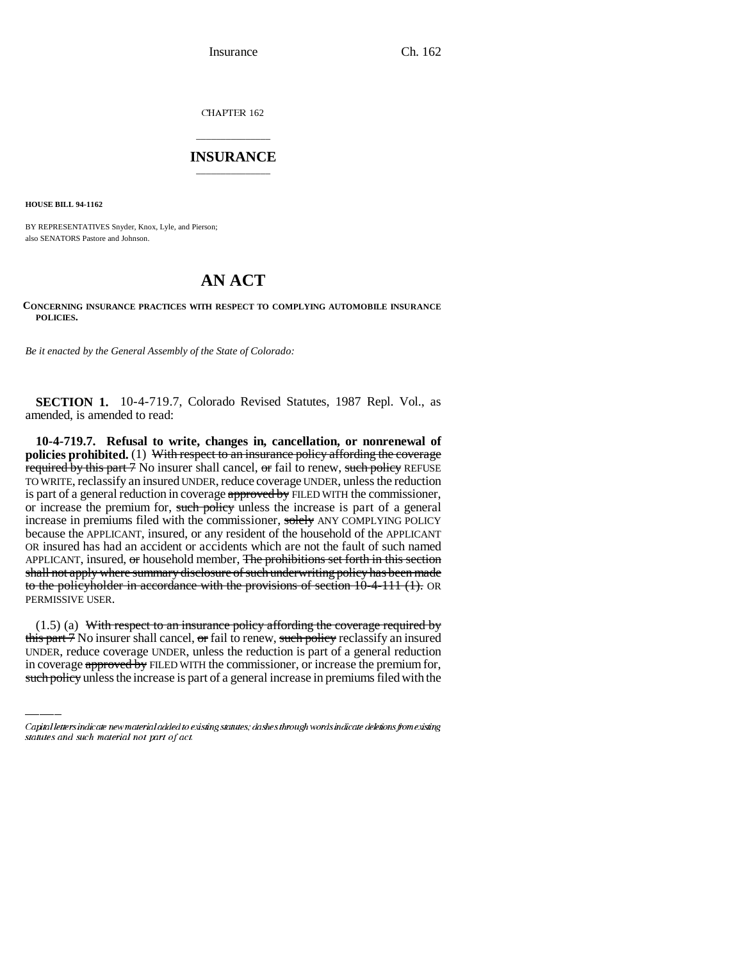Insurance Ch. 162

CHAPTER 162

## \_\_\_\_\_\_\_\_\_\_\_\_\_\_\_ **INSURANCE** \_\_\_\_\_\_\_\_\_\_\_\_\_\_\_

**HOUSE BILL 94-1162**

BY REPRESENTATIVES Snyder, Knox, Lyle, and Pierson; also SENATORS Pastore and Johnson.

## **AN ACT**

## **CONCERNING INSURANCE PRACTICES WITH RESPECT TO COMPLYING AUTOMOBILE INSURANCE POLICIES.**

*Be it enacted by the General Assembly of the State of Colorado:*

**SECTION 1.** 10-4-719.7, Colorado Revised Statutes, 1987 Repl. Vol., as amended, is amended to read:

**10-4-719.7. Refusal to write, changes in, cancellation, or nonrenewal of policies prohibited.** (1) With respect to an insurance policy affording the coverage required by this part 7 No insurer shall cancel, or fail to renew, such policy REFUSE TO WRITE, reclassify an insured UNDER, reduce coverage UNDER, unless the reduction is part of a general reduction in coverage approved by FILED WITH the commissioner, or increase the premium for, such policy unless the increase is part of a general increase in premiums filed with the commissioner, solely ANY COMPLYING POLICY because the APPLICANT, insured, or any resident of the household of the APPLICANT OR insured has had an accident or accidents which are not the fault of such named APPLICANT, insured, or household member, The prohibitions set forth in this section shall not apply where summary disclosure of such underwriting policy has been made to the policyholder in accordance with the provisions of section 10-4-111 (1). OR PERMISSIVE USER.

(1.5) (a) With respect to an insurance policy affording the coverage required by this part 7 No insurer shall cancel, or fail to renew, such policy reclassify an insured UNDER, reduce coverage UNDER, unless the reduction is part of a general reduction in coverage approved by FILED WITH the commissioner, or increase the premium for, such policy unless the increase is part of a general increase in premiums filed with the

Capital letters indicate new material added to existing statutes; dashes through words indicate deletions from existing statutes and such material not part of act.